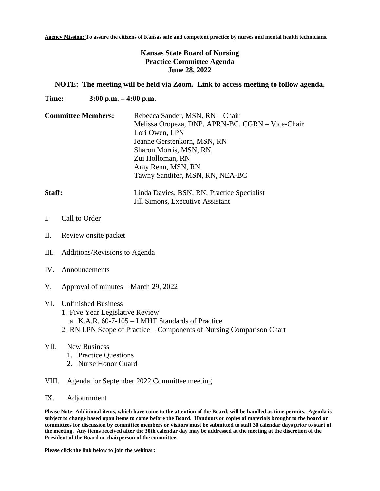**Agency Mission: To assure the citizens of Kansas safe and competent practice by nurses and mental health technicians.**

## **Kansas State Board of Nursing Practice Committee Agenda June 28, 2022**

## **NOTE: The meeting will be held via Zoom. Link to access meeting to follow agenda.**

**Time: 3:00 p.m. – 4:00 p.m.**

| <b>Committee Members:</b> | Rebecca Sander, MSN, RN - Chair                  |
|---------------------------|--------------------------------------------------|
|                           | Melissa Oropeza, DNP, APRN-BC, CGRN – Vice-Chair |
|                           | Lori Owen, LPN                                   |
|                           | Jeanne Gerstenkorn, MSN, RN                      |
|                           | Sharon Morris, MSN, RN                           |
|                           | Zui Holloman, RN                                 |
|                           | Amy Renn, MSN, RN                                |
|                           | Tawny Sandifer, MSN, RN, NEA-BC                  |
|                           |                                                  |

| Staff: | Linda Davies, BSN, RN, Practice Specialist |
|--------|--------------------------------------------|
|        | Jill Simons, Executive Assistant           |

- I. Call to Order
- II. Review onsite packet
- III. Additions/Revisions to Agenda
- IV. Announcements
- V. Approval of minutes March 29, 2022

## VI. Unfinished Business

- 1. Five Year Legislative Review
	- a. K.A.R. 60-7-105 LMHT Standards of Practice
- 2. RN LPN Scope of Practice Components of Nursing Comparison Chart
- VII. New Business
	- 1. Practice Questions
	- 2. Nurse Honor Guard
- VIII. Agenda for September 2022 Committee meeting
- IX. Adjournment

**Please Note: Additional items, which have come to the attention of the Board, will be handled as time permits. Agenda is subject to change based upon items to come before the Board. Handouts or copies of materials brought to the board or committees for discussion by committee members or visitors must be submitted to staff 30 calendar days prior to start of the meeting. Any items received after the 30th calendar day may be addressed at the meeting at the discretion of the President of the Board or chairperson of the committee.**

**Please click the link below to join the webinar:**